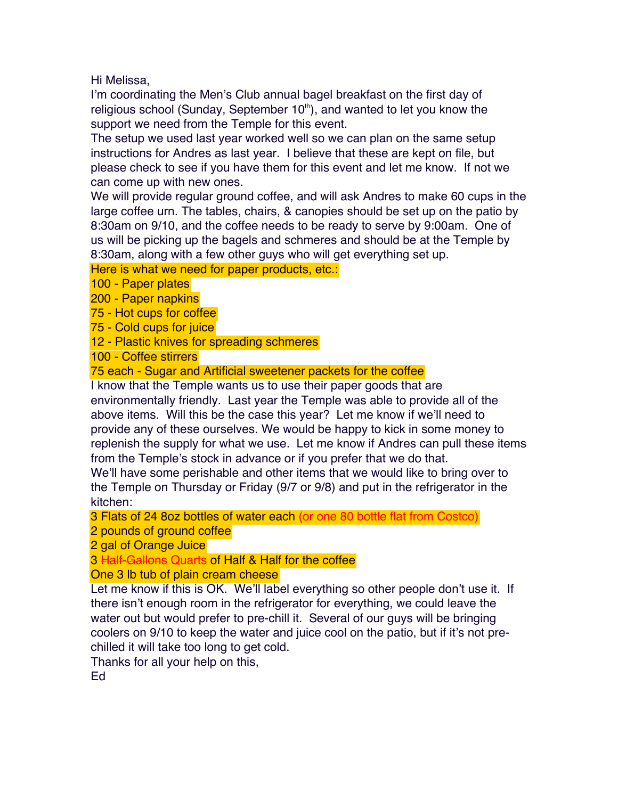Hi Melissa,

I'm coordinating the Men's Club annual bagel breakfast on the first day of religious school (Sunday, September  $10<sup>th</sup>$ ), and wanted to let you know the support we need from the Temple for this event.

The setup we used last year worked well so we can plan on the same setup instructions for Andres as last year. I believe that these are kept on file, but please check to see if you have them for this event and let me know. If not we can come up with new ones.

We will provide regular ground coffee, and will ask Andres to make 60 cups in the large coffee urn. The tables, chairs, & canopies should be set up on the patio by 8:30am on 9/10, and the coffee needs to be ready to serve by 9:00am. One of us will be picking up the bagels and schmeres and should be at the Temple by 8:30am, along with a few other guys who will get everything set up.

Here is what we need for paper products, etc.:

100 - Paper plates

200 - Paper napkins

75 - Hot cups for coffee

75 - Cold cups for juice

12 - Plastic knives for spreading schmeres

100 - Coffee stirrers

75 each - Sugar and Artificial sweetener packets for the coffee

I know that the Temple wants us to use their paper goods that are environmentally friendly. Last year the Temple was able to provide all of the above items. Will this be the case this year? Let me know if we'll need to provide any of these ourselves. We would be happy to kick in some money to replenish the supply for what we use. Let me know if Andres can pull these items from the Temple's stock in advance or if you prefer that we do that.

We'll have some perishable and other items that we would like to bring over to the Temple on Thursday or Friday (9/7 or 9/8) and put in the refrigerator in the kitchen:

3 Flats of 24 8oz bottles of water each (or one 80 bottle flat from Costco)

2 pounds of ground coffee

2 gal of Orange Juice

3 Half-Gallons Quarts of Half & Half for the coffee

One 3 lb tub of plain cream cheese

Let me know if this is OK. We'll label everything so other people don't use it. If there isn't enough room in the refrigerator for everything, we could leave the water out but would prefer to pre-chill it. Several of our guys will be bringing coolers on 9/10 to keep the water and juice cool on the patio, but if it's not prechilled it will take too long to get cold.

Thanks for all your help on this,

Ed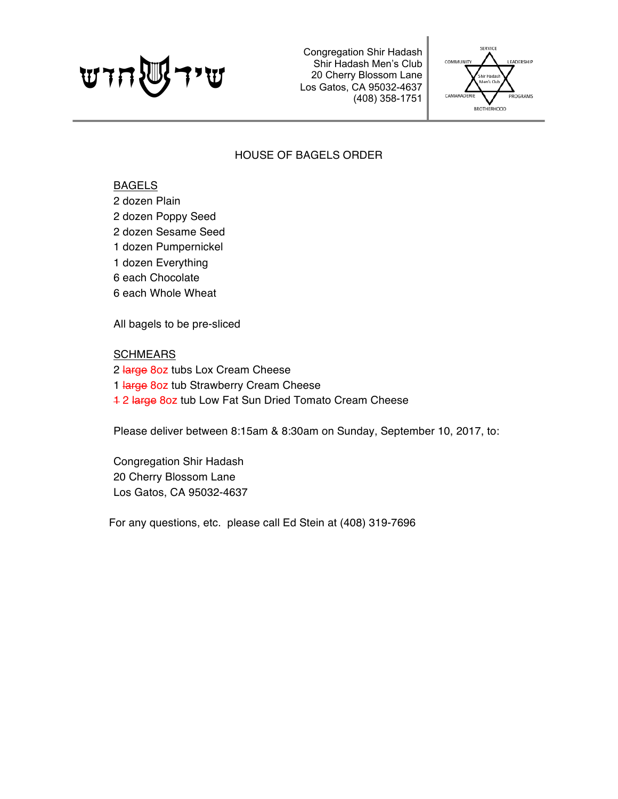Congregation Shir Hadash Shir Hadash Men's Club 20 Cherry Blossom Lane<br>Los Gatos, CA 95032-4637 Shir Hadash Men's Club<br>20 Cherry Blossom Lane<br>Los Gatos, CA 95032-4637<br>(408) 358-1751



# HOUSE OF BAGELS ORDER

## BAGELS

2 dozen Plain

- 2 dozen Poppy Seed
- 2 dozen Sesame Seed
- 1 dozen Pumpernickel
- 1 dozen Everything
- 6 each Chocolate
- 6 each Whole Wheat

All bagels to be pre-sliced

## **SCHMEARS**

2 large 8oz tubs Lox Cream Cheese 1 large 8oz tub Strawberry Cream Cheese 1 2 large 8oz tub Low Fat Sun Dried Tomato Cream Cheese

Please deliver between 8:15am & 8:30am on Sunday, September 10, 2017, to:

Congregation Shir Hadash 20 Cherry Blossom Lane Los Gatos, CA 95032-4637

For any questions, etc. please call Ed Stein at (408) 319-7696